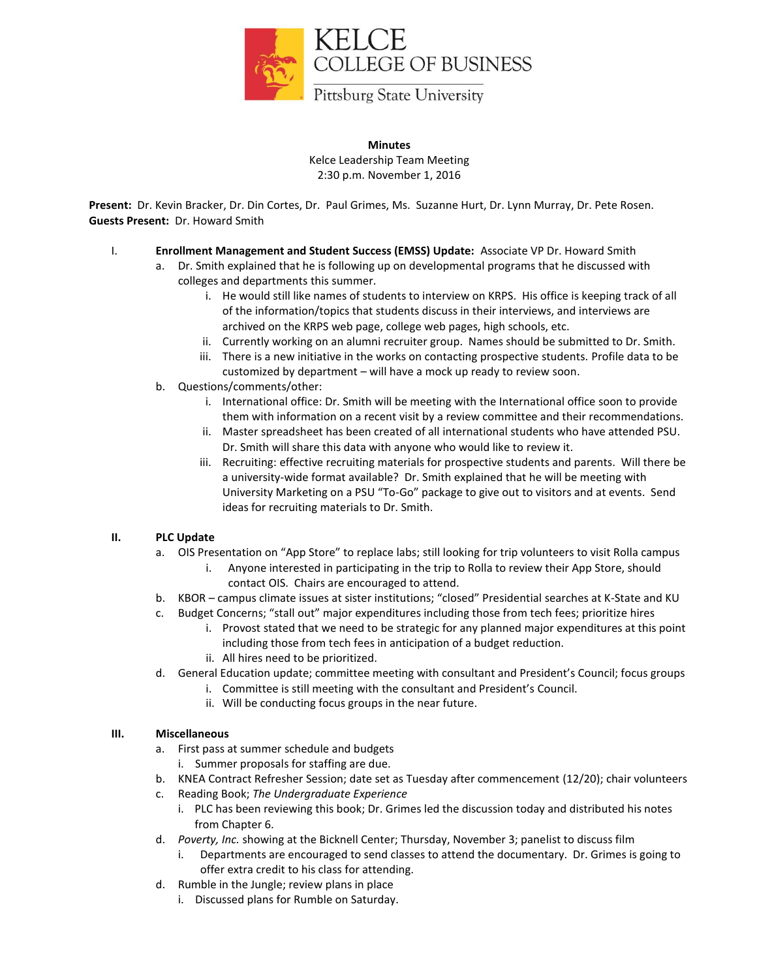

**Minutes** Kelce Leadership Team Meeting 2:30 p.m. November 1, 2016

**Present:** Dr. Kevin Bracker, Dr. Din Cortes, Dr. Paul Grimes, Ms. Suzanne Hurt, Dr. Lynn Murray, Dr. Pete Rosen. **Guests Present:** Dr. Howard Smith

- I. **Enrollment Management and Student Success (EMSS) Update:** Associate VP Dr. Howard Smith
	- a. Dr. Smith explained that he is following up on developmental programs that he discussed with colleges and departments this summer.
		- i. He would still like names of students to interview on KRPS. His office is keeping track of all of the information/topics that students discuss in their interviews, and interviews are archived on the KRPS web page, college web pages, high schools, etc.
		- ii. Currently working on an alumni recruiter group. Names should be submitted to Dr. Smith.
		- iii. There is a new initiative in the works on contacting prospective students. Profile data to be customized by department – will have a mock up ready to review soon.
	- b. Questions/comments/other:
		- i. International office: Dr. Smith will be meeting with the International office soon to provide them with information on a recent visit by a review committee and their recommendations.
		- ii. Master spreadsheet has been created of all international students who have attended PSU. Dr. Smith will share this data with anyone who would like to review it.
		- iii. Recruiting: effective recruiting materials for prospective students and parents. Will there be a university-wide format available? Dr. Smith explained that he will be meeting with University Marketing on a PSU "To-Go" package to give out to visitors and at events. Send ideas for recruiting materials to Dr. Smith.

# **II. PLC Update**

- a. OIS Presentation on "App Store" to replace labs; still looking for trip volunteers to visit Rolla campus
	- i. Anyone interested in participating in the trip to Rolla to review their App Store, should contact OIS. Chairs are encouraged to attend.
- b. KBOR campus climate issues at sister institutions; "closed" Presidential searches at K-State and KU
- c. Budget Concerns; "stall out" major expenditures including those from tech fees; prioritize hires
	- i. Provost stated that we need to be strategic for any planned major expenditures at this point including those from tech fees in anticipation of a budget reduction.
	- ii. All hires need to be prioritized.
- d. General Education update; committee meeting with consultant and President's Council; focus groups
	- i. Committee is still meeting with the consultant and President's Council.
		- ii. Will be conducting focus groups in the near future.

# **III. Miscellaneous**

- a. First pass at summer schedule and budgets
	- i. Summer proposals for staffing are due.
- b. KNEA Contract Refresher Session; date set as Tuesday after commencement (12/20); chair volunteers
- c. Reading Book; *The Undergraduate Experience*
	- i. PLC has been reviewing this book; Dr. Grimes led the discussion today and distributed his notes from Chapter 6.
- d. *Poverty, Inc.* showing at the Bicknell Center; Thursday, November 3; panelist to discuss film
	- Departments are encouraged to send classes to attend the documentary. Dr. Grimes is going to offer extra credit to his class for attending.
- d. Rumble in the Jungle; review plans in place
	- i. Discussed plans for Rumble on Saturday.